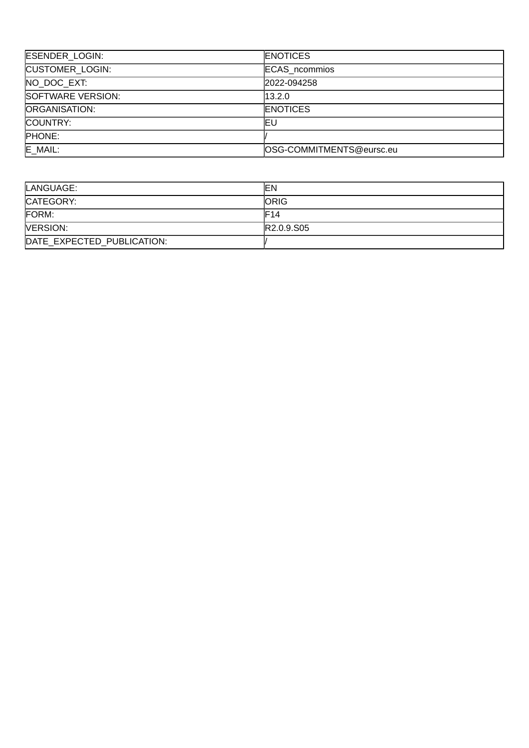| ESENDER_LOGIN:         | <b>ENOTICES</b>          |
|------------------------|--------------------------|
| <b>CUSTOMER LOGIN:</b> | <b>ECAS</b> ncommios     |
| NO DOC EXT:            | 2022-094258              |
| SOFTWARE VERSION:      | 13.2.0                   |
| ORGANISATION:          | <b>ENOTICES</b>          |
| COUNTRY:               | ΙEυ                      |
| <b>PHONE:</b>          |                          |
| E MAIL:                | OSG-COMMITMENTS@eursc.eu |

| LANGUAGE:                  | lΕN                                 |
|----------------------------|-------------------------------------|
| CATEGORY:                  | <b>ORIG</b>                         |
| FORM:                      | F14                                 |
| <b>NERSION:</b>            | R <sub>2.0.9</sub> .S <sub>05</sub> |
| DATE EXPECTED PUBLICATION: |                                     |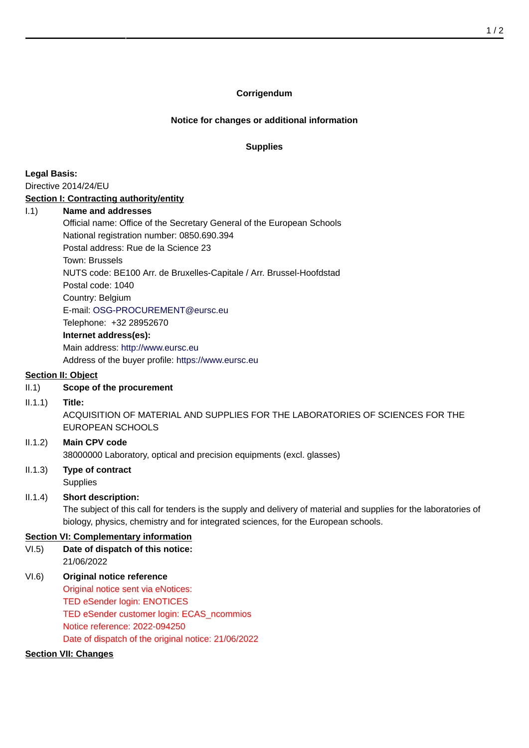#### **Corrigendum**

### **Notice for changes or additional information**

#### **Supplies**

**Legal Basis:** Directive 2014/24/EU

#### **Section I: Contracting authority/entity**

#### I.1) **Name and addresses**

Official name: Office of the Secretary General of the European Schools National registration number: 0850.690.394 Postal address: Rue de la Science 23 Town: Brussels NUTS code: BE100 Arr. de Bruxelles-Capitale / Arr. Brussel-Hoofdstad Postal code: 1040 Country: Belgium E-mail: [OSG-PROCUREMENT@eursc.eu](mailto:OSG-PROCUREMENT@eursc.eu) Telephone: +32 28952670 **Internet address(es):** Main address:<http://www.eursc.eu> Address of the buyer profile: <https://www.eursc.eu>

## **Section II: Object**

## II.1) **Scope of the procurement**

#### II.1.1) **Title:**

ACQUISITION OF MATERIAL AND SUPPLIES FOR THE LABORATORIES OF SCIENCES FOR THE EUROPEAN SCHOOLS

## II.1.2) **Main CPV code** 38000000 Laboratory, optical and precision equipments (excl. glasses)

## II.1.3) **Type of contract Supplies**

## II.1.4) **Short description:**

The subject of this call for tenders is the supply and delivery of material and supplies for the laboratories of biology, physics, chemistry and for integrated sciences, for the European schools.

## **Section VI: Complementary information**

- VI.5) **Date of dispatch of this notice:** 21/06/2022
- VI.6) **Original notice reference** Original notice sent via eNotices: TED eSender login: ENOTICES TED eSender customer login: ECAS\_ncommios Notice reference: 2022-094250 Date of dispatch of the original notice: 21/06/2022

# **Section VII: Changes**